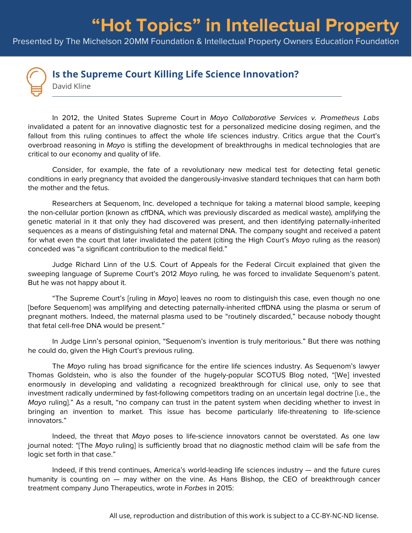## **"Hot Topics" in Intellectual Property**

Presented by The Michelson 20MM Foundation & Intellectual Property Owners Education Foundation



## **Is the Supreme Court Killing Life Science Innovation?**

David Kline

In 2012, the United States Supreme Court in Mayo Collaborative Services v. Prometheus Labs invalidated a patent for an innovative diagnostic test for a personalized medicine dosing regimen, and the fallout from this ruling continues to affect the whole life sciences industry. Critics argue that the Court's overbroad reasoning in Mayo is stifling the development of breakthroughs in medical technologies that are critical to our economy and quality of life.

Consider, for example, the fate of a revolutionary new medical test for detecting fetal genetic conditions in early pregnancy that avoided the dangerously-invasive standard techniques that can harm both the mother and the fetus.

Researchers at Sequenom, Inc. developed a technique for taking a maternal blood sample, keeping the non-cellular portion (known as cffDNA, which was previously discarded as medical waste), amplifying the genetic material in it that only they had discovered was present, and then identifying paternally-inherited sequences as a means of distinguishing fetal and maternal DNA. The company sought and received a patent for what even the court that later invalidated the patent (citing the High Court's Mayo ruling as the reason) conceded was "a significant contribution to the medical field."

Judge Richard Linn of the U.S. Court of Appeals for the Federal Circuit explained that given the sweeping language of Supreme Court's 2012 Mayo ruling, he was forced to invalidate Sequenom's patent. But he was not happy about it.

"The Supreme Court's [ruling in Mayo] leaves no room to distinguish this case, even though no one [before Sequenom] was amplifying and detecting paternally-inherited cffDNA using the plasma or serum of pregnant mothers. Indeed, the maternal plasma used to be "routinely discarded," because nobody thought that fetal cell-free DNA would be present."

In Judge Linn's personal opinion, "Sequenom's invention is truly meritorious." But there was nothing he could do, given the High Court's previous ruling.

The Mayo ruling has broad significance for the entire life sciences industry. As Sequenom's lawyer Thomas Goldstein, who is also the founder of the hugely-popular SCOTUS Blog noted, "[We] invested enormously in developing and validating a recognized breakthrough for clinical use, only to see that investment radically undermined by fast-following competitors trading on an uncertain legal doctrine [i.e., the Mayo ruling]." As a result, "no company can trust in the patent system when deciding whether to invest in bringing an invention to market. This issue has become particularly life-threatening to life-science innovators."

Indeed, the threat that Mayo poses to life-science innovators cannot be overstated. As one law journal noted: "[The Mayo ruling] is sufficiently broad that no diagnostic method claim will be safe from the logic set forth in that case."

Indeed, if this trend continues, America's world-leading life sciences industry — and the future cures humanity is counting on — may wither on the vine. As Hans Bishop, the CEO of breakthrough cancer treatment company Juno Therapeutics, wrote in Forbes in 2015: